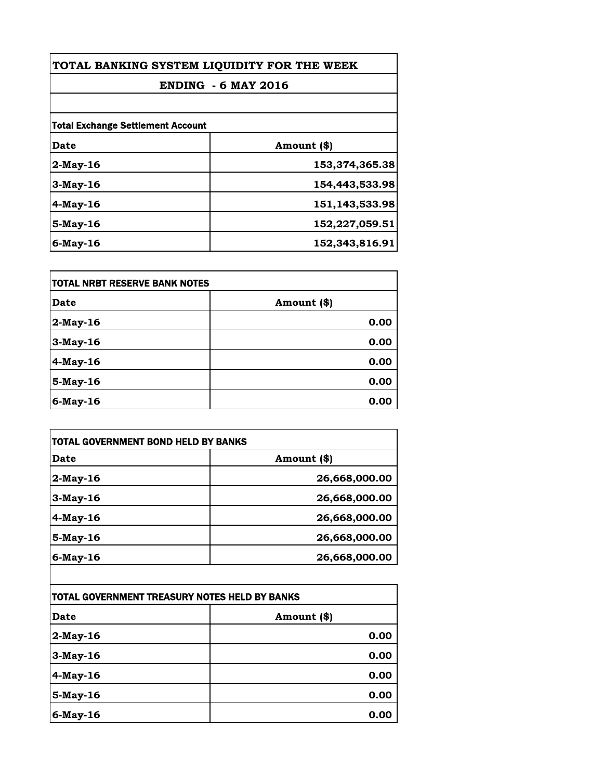| TOTAL BANKING SYSTEM LIQUIDITY FOR THE WEEK |                |
|---------------------------------------------|----------------|
| <b>ENDING - 6 MAY 2016</b>                  |                |
|                                             |                |
| <b>Total Exchange Settlement Account</b>    |                |
| Date                                        | Amount (\$)    |
| $2$ -May-16                                 | 153,374,365.38 |
| $3$ -May-16                                 | 154,443,533.98 |
| 4-May-16                                    | 151,143,533.98 |
| 5-May-16                                    | 152,227,059.51 |
| $6$ -May-16                                 | 152,343,816.91 |

| itotal NRBT RESERVE BANK NOTES |             |
|--------------------------------|-------------|
| <b>Date</b>                    | Amount (\$) |
| $2$ -May-16                    | 0.00        |
| 3-May-16                       | 0.00        |
| 4-May-16                       | 0.00        |
| 5-May-16                       | 0.00        |
| 6-May-16                       | 0.00        |

| TOTAL GOVERNMENT BOND HELD BY BANKS           |               |
|-----------------------------------------------|---------------|
| <b>Date</b>                                   | Amount (\$)   |
| 2-May-16                                      | 26,668,000.00 |
| 3-May-16                                      | 26,668,000.00 |
| 4-May-16                                      | 26,668,000.00 |
| 5-May-16                                      | 26,668,000.00 |
| 6-May-16                                      | 26,668,000.00 |
|                                               |               |
| TOTAL GOVERNMENT TREASURY NOTES HELD BY BANKS |               |
| <b>Date</b>                                   | Amount (\$)   |
| 2-May-16                                      | 0.00          |
| 3-May-16                                      | 0.00          |
| 4-May-16                                      | 0.00          |
| 5-May-16                                      | 0.00          |

**6-May-16 0.00**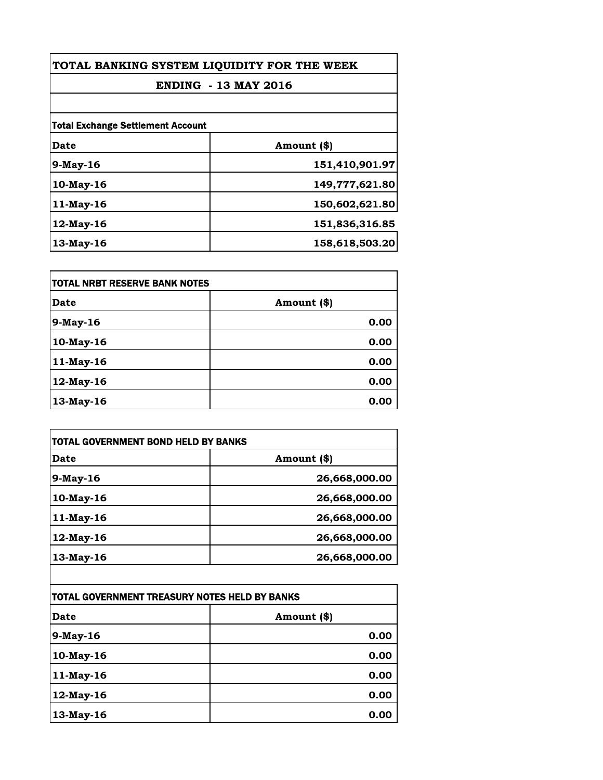| TOTAL BANKING SYSTEM LIQUIDITY FOR THE WEEK<br><b>ENDING - 13 MAY 2016</b> |                |
|----------------------------------------------------------------------------|----------------|
|                                                                            |                |
| <b>Total Exchange Settlement Account</b>                                   |                |
| Date                                                                       | Amount (\$)    |
| $9$ -May-16                                                                | 151,410,901.97 |
| $10$ -May-16                                                               | 149,777,621.80 |
| 11-May-16                                                                  | 150,602,621.80 |
| 12-May-16                                                                  | 151,836,316.85 |
| $13$ -May-16                                                               | 158,618,503.20 |

| itotal NRBT RESERVE BANK NOTES |             |
|--------------------------------|-------------|
| <b>Date</b>                    | Amount (\$) |
| 9-May-16                       | 0.00        |
| 10-May-16                      | 0.00        |
| 11-May-16                      | 0.00        |
| 12-May-16                      | 0.00        |
| 13-May-16                      | 0.00        |

| Date         | Amount (\$)   |
|--------------|---------------|
| 9-May-16     | 26,668,000.00 |
| 10-May-16    | 26,668,000.00 |
| 11-May-16    | 26,668,000.00 |
| 12-May-16    | 26,668,000.00 |
| $13$ -May-16 | 26,668,000.00 |

| TOTAL GOVERNMENT TREASURY NOTES HELD BY BANKS |             |
|-----------------------------------------------|-------------|
| Date                                          | Amount (\$) |
| 9-May-16                                      | 0.00        |
| 10-May-16                                     | 0.00        |
| 11-May-16                                     | 0.00        |
| 12-May-16                                     | 0.00        |
| 13-May-16                                     | 0.00        |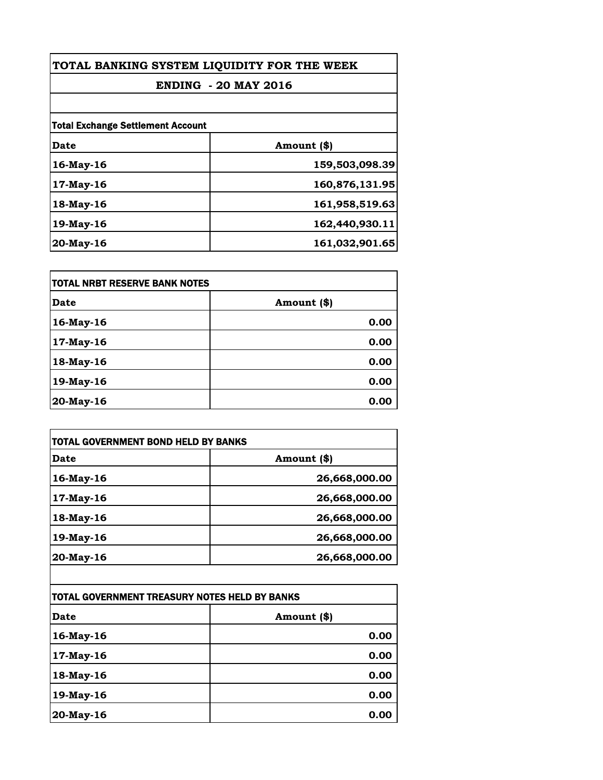| TOTAL BANKING SYSTEM LIQUIDITY FOR THE WEEK<br><b>ENDING - 20 MAY 2016</b> |                |
|----------------------------------------------------------------------------|----------------|
|                                                                            |                |
| <b>Total Exchange Settlement Account</b>                                   |                |
| Date                                                                       | Amount (\$)    |
| 16-May-16                                                                  | 159,503,098.39 |
| $17$ -May-16                                                               | 160,876,131.95 |
| 18-May-16                                                                  | 161,958,519.63 |
| 19-May-16                                                                  | 162,440,930.11 |
| $20$ -May-16                                                               | 161,032,901.65 |

| itotal NRBT RESERVE BANK NOTES |             |
|--------------------------------|-------------|
| <b>Date</b>                    | Amount (\$) |
| 16-May-16                      | 0.00        |
| 17-May-16                      | 0.00        |
| 18-May-16                      | 0.00        |
| 19-May-16                      | 0.00        |
| 20-May-16                      | 0.00        |

| <b>Date</b> | Amount (\$)   |
|-------------|---------------|
| 16-May-16   | 26,668,000.00 |
| 17-May-16   | 26,668,000.00 |
| 18-May-16   | 26,668,000.00 |
| 19-May-16   | 26,668,000.00 |
| 20-May-16   | 26,668,000.00 |

| TOTAL GOVERNMENT TREASURY NOTES HELD BY BANKS |             |
|-----------------------------------------------|-------------|
| Date                                          | Amount (\$) |
| 16-May-16                                     | 0.00        |
| 17-May-16                                     | 0.00        |
| 18-May-16                                     | 0.00        |
| 19-May-16                                     | 0.00        |
| 20-May-16                                     | 0.00        |